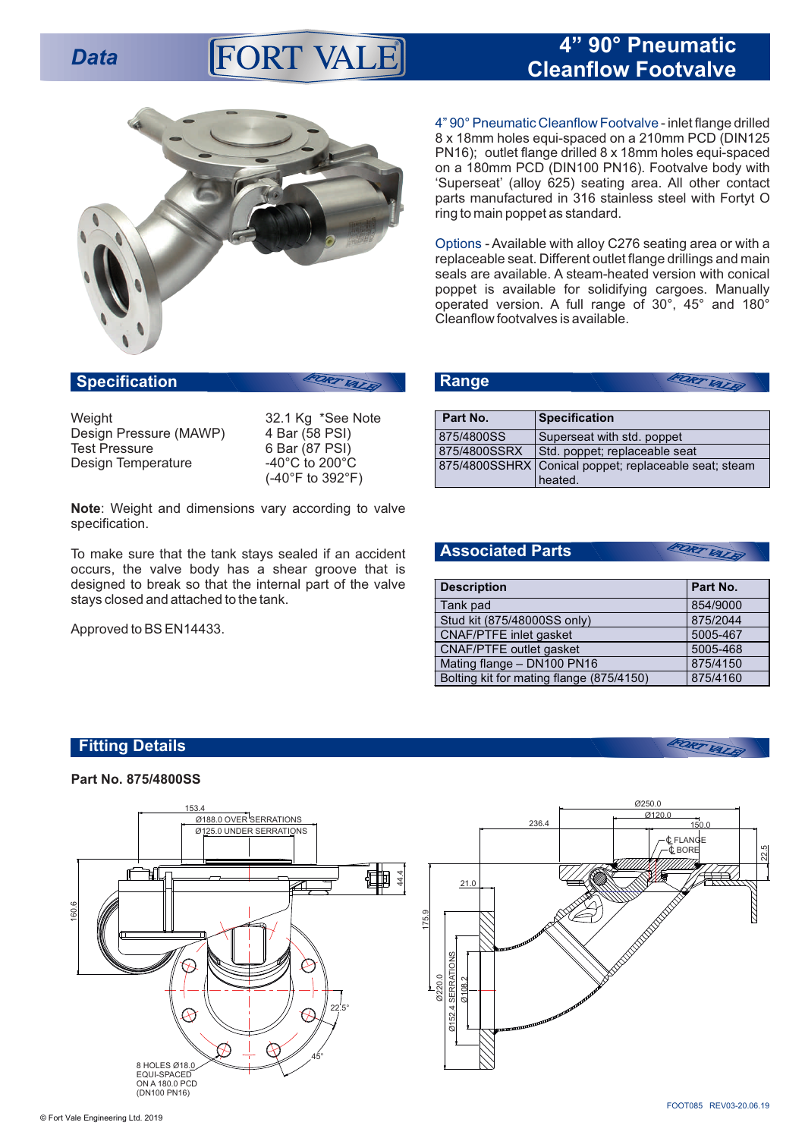# **Data Cleanflaw Eact value Cleanflow Footvalve**



**Specification**

Weight 32.1 Kg \*See Note<br>Design Pressure (MAWP) 4 Bar (58 PSI) Design Pressure (MAWP)<br>Test Pressure Design Temperature

6 Bar (87 PSI)<br>-40°C to 200°C (-40°F to 392°F)

DRT VALK

**Note**: Weight and dimensions vary according to valve specification.

To make sure that the tank stays sealed if an accident occurs, the valve body has a shear groove that is designed to break so that the internal part of the valve stays closed and attached to the tank.

Approved to BS EN14433.

| 4"90° Pneumatic Cleanflow Footvalve - inlet flange drilled |
|------------------------------------------------------------|
| 8 x 18mm holes equi-spaced on a 210mm PCD (DIN125)         |
| PN16); outlet flange drilled 8 x 18mm holes equi-spaced    |
| on a 180mm PCD (DIN100 PN16). Footvalve body with          |
| 'Superseat' (alloy 625) seating area. All other contact    |
| parts manufactured in 316 stainless steel with Fortyt O    |
| ring to main poppet as standard.                           |

Options - Available with alloy C276 seating area or with a replaceable seat. Different outlet flange drillings and main seals are available. A steam-heated version with conical poppet is available for solidifying cargoes. Manually operated version. A full range of 30°, 45° and 180° Cleanflow footvalves is available.

| $\blacksquare$ | <b>VALAT</b>                                          |  |
|----------------|-------------------------------------------------------|--|
|                |                                                       |  |
| Part No.       | <b>Specification</b>                                  |  |
| 875/4800SS     | Superseat with std. poppet                            |  |
| 875/4800SSRX   | Std. poppet; replaceable seat                         |  |
|                | 875/4800SSHRX Conical poppet; replaceable seat; steam |  |

heated.

### **Associated Parts**

**Range**

| <b>Description</b>                       | Part No. |
|------------------------------------------|----------|
| Tank pad                                 | 854/9000 |
| Stud kit (875/48000SS only)              | 875/2044 |
| <b>CNAF/PTFE</b> inlet gasket            | 5005-467 |
| <b>CNAF/PTFE</b> outlet gasket           | 5005-468 |
| Mating flange - DN100 PN16               | 875/4150 |
| Bolting kit for mating flange (875/4150) | 875/4160 |

FORT VALE

FORT VATE

## **Fitting Details**

#### **Part No. 875/4800SS**